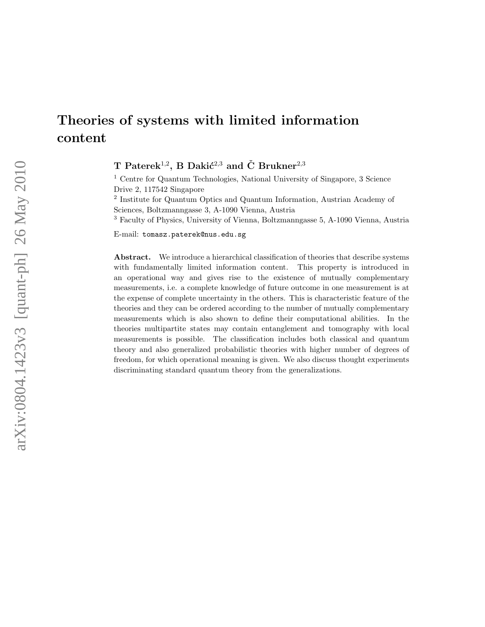# Theories of systems with limited information content

T Paterek<sup>1,2</sup>, B Dakić<sup>2,3</sup> and Č Brukner<sup>2,3</sup>

<sup>1</sup> Centre for Quantum Technologies, National University of Singapore, 3 Science Drive 2, 117542 Singapore

<sup>2</sup> Institute for Quantum Optics and Quantum Information, Austrian Academy of Sciences, Boltzmanngasse 3, A-1090 Vienna, Austria

<sup>3</sup> Faculty of Physics, University of Vienna, Boltzmanngasse 5, A-1090 Vienna, Austria

E-mail: tomasz.paterek@nus.edu.sg

Abstract. We introduce a hierarchical classification of theories that describe systems with fundamentally limited information content. This property is introduced in an operational way and gives rise to the existence of mutually complementary measurements, i.e. a complete knowledge of future outcome in one measurement is at the expense of complete uncertainty in the others. This is characteristic feature of the theories and they can be ordered according to the number of mutually complementary measurements which is also shown to define their computational abilities. In the theories multipartite states may contain entanglement and tomography with local measurements is possible. The classification includes both classical and quantum theory and also generalized probabilistic theories with higher number of degrees of freedom, for which operational meaning is given. We also discuss thought experiments discriminating standard quantum theory from the generalizations.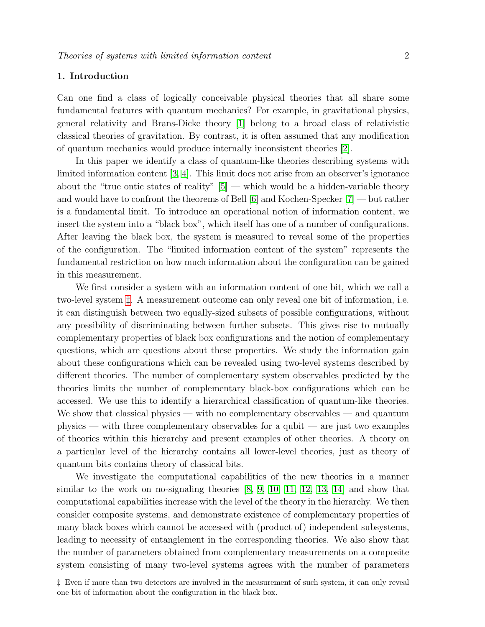# 1. Introduction

Can one find a class of logically conceivable physical theories that all share some fundamental features with quantum mechanics? For example, in gravitational physics, general relativity and Brans-Dicke theory [\[1\]](#page-12-0) belong to a broad class of relativistic classical theories of gravitation. By contrast, it is often assumed that any modification of quantum mechanics would produce internally inconsistent theories [\[2\]](#page-12-1).

In this paper we identify a class of quantum-like theories describing systems with limited information content [\[3,](#page-12-2) [4\]](#page-12-3). This limit does not arise from an observer's ignorance about the "true ontic states of reality"  $[5]$  — which would be a hidden-variable theory and would have to confront the theorems of Bell [\[6\]](#page-12-5) and Kochen-Specker [\[7\]](#page-12-6) — but rather is a fundamental limit. To introduce an operational notion of information content, we insert the system into a "black box", which itself has one of a number of configurations. After leaving the black box, the system is measured to reveal some of the properties of the configuration. The "limited information content of the system" represents the fundamental restriction on how much information about the configuration can be gained in this measurement.

We first consider a system with an information content of one bit, which we call a two-level system [‡](#page-1-0). A measurement outcome can only reveal one bit of information, i.e. it can distinguish between two equally-sized subsets of possible configurations, without any possibility of discriminating between further subsets. This gives rise to mutually complementary properties of black box configurations and the notion of complementary questions, which are questions about these properties. We study the information gain about these configurations which can be revealed using two-level systems described by different theories. The number of complementary system observables predicted by the theories limits the number of complementary black-box configurations which can be accessed. We use this to identify a hierarchical classification of quantum-like theories. We show that classical physics — with no complementary observables — and quantum physics — with three complementary observables for a qubit — are just two examples of theories within this hierarchy and present examples of other theories. A theory on a particular level of the hierarchy contains all lower-level theories, just as theory of quantum bits contains theory of classical bits.

We investigate the computational capabilities of the new theories in a manner similar to the work on no-signaling theories [\[8,](#page-12-7) [9,](#page-12-8) [10,](#page-12-9) [11,](#page-12-10) [12,](#page-12-11) [13,](#page-12-12) [14\]](#page-12-13) and show that computational capabilities increase with the level of the theory in the hierarchy. We then consider composite systems, and demonstrate existence of complementary properties of many black boxes which cannot be accessed with (product of) independent subsystems, leading to necessity of entanglement in the corresponding theories. We also show that the number of parameters obtained from complementary measurements on a composite system consisting of many two-level systems agrees with the number of parameters

<span id="page-1-0"></span><sup>‡</sup> Even if more than two detectors are involved in the measurement of such system, it can only reveal one bit of information about the configuration in the black box.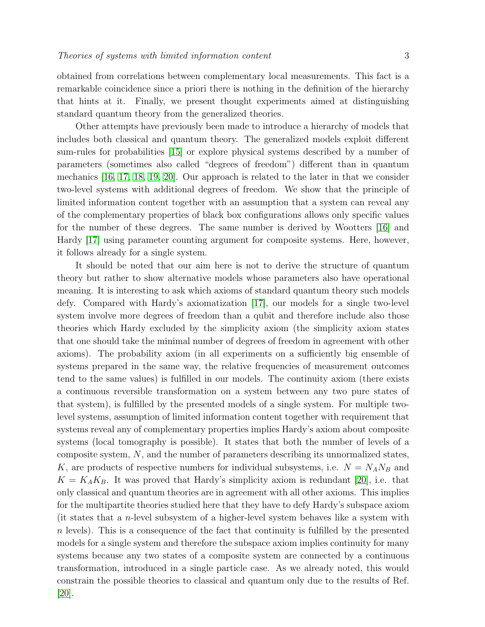obtained from correlations between complementary local measurements. This fact is a remarkable coincidence since a priori there is nothing in the definition of the hierarchy that hints at it. Finally, we present thought experiments aimed at distinguishing standard quantum theory from the generalized theories.

Other attempts have previously been made to introduce a hierarchy of models that includes both classical and quantum theory. The generalized models exploit different sum-rules for probabilities [\[15\]](#page-12-14) or explore physical systems described by a number of parameters (sometimes also called "degrees of freedom") different than in quantum mechanics [\[16,](#page-12-15) [17,](#page-12-16) [18,](#page-12-17) [19,](#page-12-18) [20\]](#page-12-19). Our approach is related to the later in that we consider two-level systems with additional degrees of freedom. We show that the principle of limited information content together with an assumption that a system can reveal any of the complementary properties of black box configurations allows only specific values for the number of these degrees. The same number is derived by Wootters [\[16\]](#page-12-15) and Hardy [\[17\]](#page-12-16) using parameter counting argument for composite systems. Here, however, it follows already for a single system.

It should be noted that our aim here is not to derive the structure of quantum theory but rather to show alternative models whose parameters also have operational meaning. It is interesting to ask which axioms of standard quantum theory such models defy. Compared with Hardy's axiomatization [\[17\]](#page-12-16), our models for a single two-level system involve more degrees of freedom than a qubit and therefore include also those theories which Hardy excluded by the simplicity axiom (the simplicity axiom states that one should take the minimal number of degrees of freedom in agreement with other axioms). The probability axiom (in all experiments on a sufficiently big ensemble of systems prepared in the same way, the relative frequencies of measurement outcomes tend to the same values) is fulfilled in our models. The continuity axiom (there exists a continuous reversible transformation on a system between any two pure states of that system), is fulfilled by the presented models of a single system. For multiple twolevel systems, assumption of limited information content together with requirement that systems reveal any of complementary properties implies Hardy's axiom about composite systems (local tomography is possible). It states that both the number of levels of a composite system, N, and the number of parameters describing its unnormalized states, K, are products of respective numbers for individual subsystems, i.e.  $N = N_A N_B$  and  $K = K_A K_B$ . It was proved that Hardy's simplicity axiom is redundant [\[20\]](#page-12-19), i.e. that only classical and quantum theories are in agreement with all other axioms. This implies for the multipartite theories studied here that they have to defy Hardy's subspace axiom (it states that a n-level subsystem of a higher-level system behaves like a system with  $n$  levels). This is a consequence of the fact that continuity is fulfilled by the presented models for a single system and therefore the subspace axiom implies continuity for many systems because any two states of a composite system are connected by a continuous transformation, introduced in a single particle case. As we already noted, this would constrain the possible theories to classical and quantum only due to the results of Ref. [\[20\]](#page-12-19).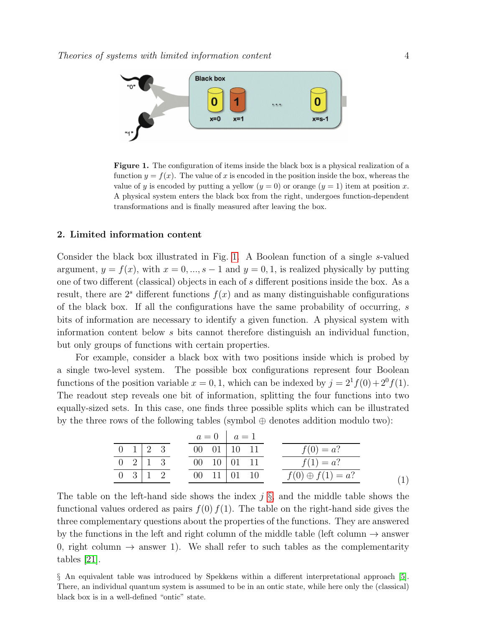

<span id="page-3-0"></span>Figure 1. The configuration of items inside the black box is a physical realization of a function  $y = f(x)$ . The value of x is encoded in the position inside the box, whereas the value of y is encoded by putting a yellow  $(y = 0)$  or orange  $(y = 1)$  item at position x. A physical system enters the black box from the right, undergoes function-dependent transformations and is finally measured after leaving the box.

# 2. Limited information content

Consider the black box illustrated in Fig. [1.](#page-3-0) A Boolean function of a single s-valued argument,  $y = f(x)$ , with  $x = 0, ..., s - 1$  and  $y = 0, 1$ , is realized physically by putting one of two different (classical) objects in each of s different positions inside the box. As a result, there are  $2<sup>s</sup>$  different functions  $f(x)$  and as many distinguishable configurations of the black box. If all the configurations have the same probability of occurring, s bits of information are necessary to identify a given function. A physical system with information content below s bits cannot therefore distinguish an individual function, but only groups of functions with certain properties.

For example, consider a black box with two positions inside which is probed by a single two-level system. The possible box configurations represent four Boolean functions of the position variable  $x = 0, 1$ , which can be indexed by  $j = 2^1 f(0) + 2^0 f(1)$ . The readout step reveals one bit of information, splitting the four functions into two equally-sized sets. In this case, one finds three possible splits which can be illustrated by the three rows of the following tables (symbol  $\oplus$  denotes addition modulo two):

<span id="page-3-2"></span>

|                            | $a = 0 \mid a = 1$             |                         |  |
|----------------------------|--------------------------------|-------------------------|--|
| $0 \quad 1 \mid 2 \quad 3$ | $00 \quad 01 \mid 10 \quad 11$ | $f(0) = a?$             |  |
| $0 \quad 2 \mid 1 \quad 3$ | $00 \quad 10 \mid 01 \quad 11$ | $f(1) = a?$             |  |
| $0 \quad 3 \mid 1 \quad 2$ | 00 $11 \mid 01 \mid 10$        | $f(0) \oplus f(1) = a?$ |  |
|                            |                                |                         |  |

The table on the left-hand side shows the index j  $\S$ , and the middle table shows the functional values ordered as pairs  $f(0) f(1)$ . The table on the right-hand side gives the three complementary questions about the properties of the functions. They are answered by the functions in the left and right column of the middle table (left column  $\rightarrow$  answer 0, right column  $\rightarrow$  answer 1). We shall refer to such tables as the complementarity tables [\[21\]](#page-12-20).

<span id="page-3-1"></span>§ An equivalent table was introduced by Spekkens within a different interpretational approach [\[5\]](#page-12-4). There, an individual quantum system is assumed to be in an ontic state, while here only the (classical) black box is in a well-defined "ontic" state.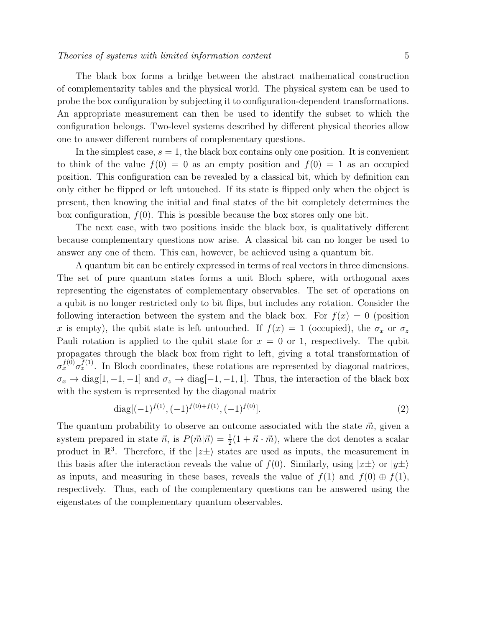The black box forms a bridge between the abstract mathematical construction of complementarity tables and the physical world. The physical system can be used to probe the box configuration by subjecting it to configuration-dependent transformations. An appropriate measurement can then be used to identify the subset to which the configuration belongs. Two-level systems described by different physical theories allow one to answer different numbers of complementary questions.

In the simplest case,  $s = 1$ , the black box contains only one position. It is convenient to think of the value  $f(0) = 0$  as an empty position and  $f(0) = 1$  as an occupied position. This configuration can be revealed by a classical bit, which by definition can only either be flipped or left untouched. If its state is flipped only when the object is present, then knowing the initial and final states of the bit completely determines the box configuration,  $f(0)$ . This is possible because the box stores only one bit.

The next case, with two positions inside the black box, is qualitatively different because complementary questions now arise. A classical bit can no longer be used to answer any one of them. This can, however, be achieved using a quantum bit.

A quantum bit can be entirely expressed in terms of real vectors in three dimensions. The set of pure quantum states forms a unit Bloch sphere, with orthogonal axes representing the eigenstates of complementary observables. The set of operations on a qubit is no longer restricted only to bit flips, but includes any rotation. Consider the following interaction between the system and the black box. For  $f(x) = 0$  (position x is empty), the qubit state is left untouched. If  $f(x) = 1$  (occupied), the  $\sigma_x$  or  $\sigma_z$ Pauli rotation is applied to the qubit state for  $x = 0$  or 1, respectively. The qubit propagates through the black box from right to left, giving a total transformation of  $\sigma_x^{f(0)} \sigma_z^{f(1)}$ . In Bloch coordinates, these rotations are represented by diagonal matrices,  $\sigma_x \to \text{diag}[1, -1, -1]$  and  $\sigma_z \to \text{diag}[-1, -1, 1]$ . Thus, the interaction of the black box with the system is represented by the diagonal matrix

$$
\text{diag}[(-1)^{f(1)}, (-1)^{f(0)+f(1)}, (-1)^{f(0)}]. \tag{2}
$$

The quantum probability to observe an outcome associated with the state  $\vec{m}$ , given a system prepared in state  $\vec{n}$ , is  $P(\vec{m}|\vec{n}) = \frac{1}{2}(1 + \vec{n} \cdot \vec{m})$ , where the dot denotes a scalar product in  $\mathbb{R}^3$ . Therefore, if the  $|z\pm\rangle$  states are used as inputs, the measurement in this basis after the interaction reveals the value of  $f(0)$ . Similarly, using  $|x\pm\rangle$  or  $|y\pm\rangle$ as inputs, and measuring in these bases, reveals the value of  $f(1)$  and  $f(0) \oplus f(1)$ , respectively. Thus, each of the complementary questions can be answered using the eigenstates of the complementary quantum observables.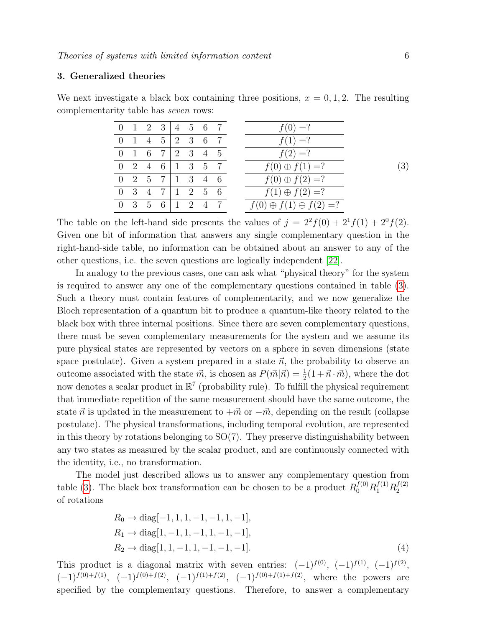## 3. Generalized theories

We next investigate a black box containing three positions,  $x = 0, 1, 2$ . The resulting complementarity table has seven rows:

<span id="page-5-0"></span>

|                 |  | $0 \t1 \t2 \t3 \t4 \t5 \t6 \t7$                             |  |  | $f(0) = ?$                         |     |
|-----------------|--|-------------------------------------------------------------|--|--|------------------------------------|-----|
|                 |  | 0 1 4 5 2 3 6 7                                             |  |  | $f(1) = ?$                         |     |
|                 |  | 0 1 6 7 2 3 4 5                                             |  |  | $f(2) = ?$                         |     |
| 0 2 4 6 1 3 5 7 |  |                                                             |  |  | $f(0) \oplus f(1) = ?$             | (3) |
|                 |  | $0 \t2 \t5 \t7 \t1 \t3 \t4 \t6$                             |  |  | $f(0) \oplus f(2) = ?$             |     |
|                 |  | $0 \quad 3 \quad 4 \quad 7 \quad 1 \quad 2 \quad 5 \quad 6$ |  |  | $f(1) \oplus f(2) = ?$             |     |
|                 |  | $0 \t3 \t5 \t6 \t1 \t2 \t4 \t7$                             |  |  | $f(0) \oplus f(1) \oplus f(2) = ?$ |     |

The table on the left-hand side presents the values of  $j = 2^2 f(0) + 2^1 f(1) + 2^0 f(2)$ . Given one bit of information that answers any single complementary question in the right-hand-side table, no information can be obtained about an answer to any of the other questions, i.e. the seven questions are logically independent [\[22\]](#page-12-21).

In analogy to the previous cases, one can ask what "physical theory" for the system is required to answer any one of the complementary questions contained in table [\(3\)](#page-5-0). Such a theory must contain features of complementarity, and we now generalize the Bloch representation of a quantum bit to produce a quantum-like theory related to the black box with three internal positions. Since there are seven complementary questions, there must be seven complementary measurements for the system and we assume its pure physical states are represented by vectors on a sphere in seven dimensions (state space postulate). Given a system prepared in a state  $\vec{n}$ , the probability to observe an outcome associated with the state  $\vec{m}$ , is chosen as  $P(\vec{m}|\vec{n}) = \frac{1}{2}(1 + \vec{n} \cdot \vec{m})$ , where the dot now denotes a scalar product in  $\mathbb{R}^7$  (probability rule). To fulfill the physical requirement that immediate repetition of the same measurement should have the same outcome, the state  $\vec{n}$  is updated in the measurement to  $+\vec{m}$  or  $-\vec{m}$ , depending on the result (collapse postulate). The physical transformations, including temporal evolution, are represented in this theory by rotations belonging to  $SO(7)$ . They preserve distinguishability between any two states as measured by the scalar product, and are continuously connected with the identity, i.e., no transformation.

The model just described allows us to answer any complementary question from table [\(3\)](#page-5-0). The black box transformation can be chosen to be a product  $R_0^{f(0)}R_1^{f(1)}R_2^{f(2)}$ 2 of rotations

$$
R_0 \to \text{diag}[-1, 1, 1, -1, -1, 1, -1],
$$
  
\n
$$
R_1 \to \text{diag}[1, -1, 1, -1, 1, -1, -1],
$$
  
\n
$$
R_2 \to \text{diag}[1, 1, -1, 1, -1, -1, -1].
$$
\n(4)

This product is a diagonal matrix with seven entries:  $(-1)^{f(0)}$ ,  $(-1)^{f(1)}$ ,  $(-1)^{f(2)}$ ,  $(-1)^{f(0)+f(1)}$ ,  $(-1)^{f(0)+f(2)}$ ,  $(-1)^{f(1)+f(2)}$ ,  $(-1)^{f(0)+f(1)+f(2)}$ , where the powers are specified by the complementary questions. Therefore, to answer a complementary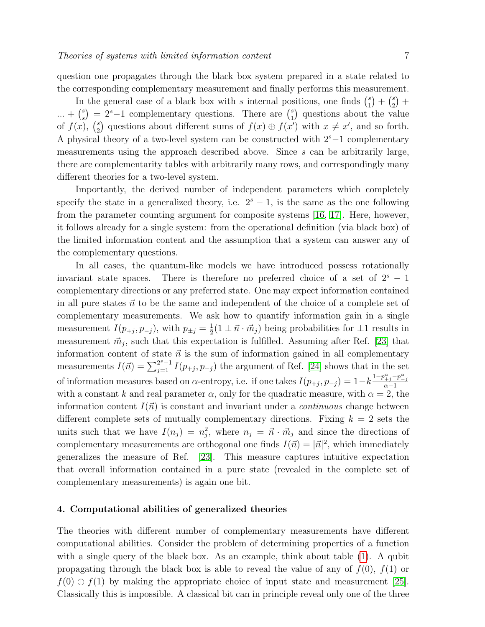question one propagates through the black box system prepared in a state related to the corresponding complementary measurement and finally performs this measurement.

In the general case of a black box with s internal positions, one finds  $\binom{s}{1}$  $\binom{s}{1} + \binom{s}{2}$  $_{2}^{s}$  +  $... + {s \choose s}$  $s(s)$  = 2<sup>s</sup>-1 complementary questions. There are  $\binom{s}{1}$  $_{1}^{s}$ ) questions about the value of  $f(x)$ ,  $\binom{s}{2}$ <sup>2</sup>/<sub>2</sub>) questions about different sums of  $f(x) \oplus f(x')$  with  $x \neq x'$ , and so forth. A physical theory of a two-level system can be constructed with  $2<sup>s</sup>$  –1 complementary measurements using the approach described above. Since s can be arbitrarily large, there are complementarity tables with arbitrarily many rows, and correspondingly many different theories for a two-level system.

Importantly, the derived number of independent parameters which completely specify the state in a generalized theory, i.e.  $2<sup>s</sup> - 1$ , is the same as the one following from the parameter counting argument for composite systems [\[16,](#page-12-15) [17\]](#page-12-16). Here, however, it follows already for a single system: from the operational definition (via black box) of the limited information content and the assumption that a system can answer any of the complementary questions.

In all cases, the quantum-like models we have introduced possess rotationally invariant state spaces. There is therefore no preferred choice of a set of  $2<sup>s</sup> - 1$ complementary directions or any preferred state. One may expect information contained in all pure states  $\vec{n}$  to be the same and independent of the choice of a complete set of complementary measurements. We ask how to quantify information gain in a single measurement  $I(p_{+j}, p_{-j})$ , with  $p_{\pm j} = \frac{1}{2}$  $\frac{1}{2}(1 \pm \vec{n} \cdot \vec{m}_j)$  being probabilities for  $\pm 1$  results in measurement  $\vec{m}_j$ , such that this expectation is fulfilled. Assuming after Ref. [\[23\]](#page-12-22) that information content of state  $\vec{n}$  is the sum of information gained in all complementary measurements  $I(\vec{n}) = \sum_{j=1}^{2^{s}-1} I(p_{+j}, p_{-j})$  the argument of Ref. [\[24\]](#page-12-23) shows that in the set of information measures based on  $\alpha$ -entropy, i.e. if one takes  $I(p_{+j}, p_{-j}) = 1 - k \frac{1 - p_{+j}^{\alpha} - p_{-j}^{\alpha}}{\alpha - 1}$ with a constant k and real parameter  $\alpha$ , only for the quadratic measure, with  $\alpha = 2$ , the information content  $I(\vec{n})$  is constant and invariant under a *continuous* change between different complete sets of mutually complementary directions. Fixing  $k = 2$  sets the units such that we have  $I(n_j) = n_j^2$ , where  $n_j = \vec{n} \cdot \vec{m}_j$  and since the directions of complementary measurements are orthogonal one finds  $I(\vec{n}) = |\vec{n}|^2$ , which immediately generalizes the measure of Ref. [\[23\]](#page-12-22). This measure captures intuitive expectation that overall information contained in a pure state (revealed in the complete set of complementary measurements) is again one bit.

# 4. Computational abilities of generalized theories

The theories with different number of complementary measurements have different computational abilities. Consider the problem of determining properties of a function with a single query of the black box. As an example, think about table [\(1\)](#page-3-2). A qubit propagating through the black box is able to reveal the value of any of  $f(0)$ ,  $f(1)$  or  $f(0) \oplus f(1)$  by making the appropriate choice of input state and measurement [\[25\]](#page-12-24). Classically this is impossible. A classical bit can in principle reveal only one of the three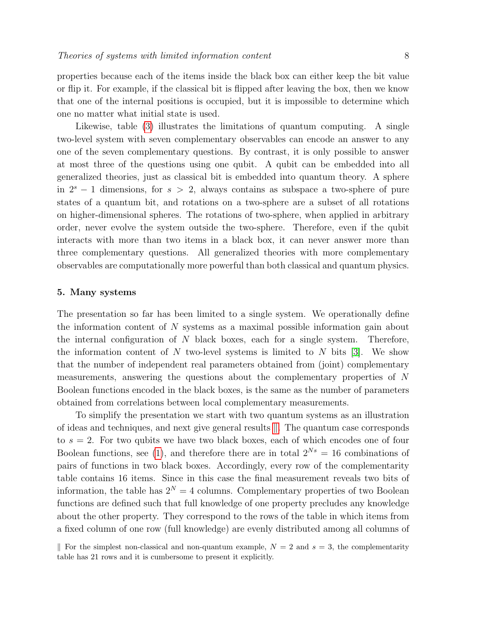properties because each of the items inside the black box can either keep the bit value or flip it. For example, if the classical bit is flipped after leaving the box, then we know that one of the internal positions is occupied, but it is impossible to determine which one no matter what initial state is used.

Likewise, table [\(3\)](#page-5-0) illustrates the limitations of quantum computing. A single two-level system with seven complementary observables can encode an answer to any one of the seven complementary questions. By contrast, it is only possible to answer at most three of the questions using one qubit. A qubit can be embedded into all generalized theories, just as classical bit is embedded into quantum theory. A sphere in  $2<sup>s</sup> - 1$  dimensions, for  $s > 2$ , always contains as subspace a two-sphere of pure states of a quantum bit, and rotations on a two-sphere are a subset of all rotations on higher-dimensional spheres. The rotations of two-sphere, when applied in arbitrary order, never evolve the system outside the two-sphere. Therefore, even if the qubit interacts with more than two items in a black box, it can never answer more than three complementary questions. All generalized theories with more complementary observables are computationally more powerful than both classical and quantum physics.

#### 5. Many systems

The presentation so far has been limited to a single system. We operationally define the information content of N systems as a maximal possible information gain about the internal configuration of  $N$  black boxes, each for a single system. Therefore, the information content of N two-level systems is limited to N bits  $[3]$ . We show that the number of independent real parameters obtained from (joint) complementary measurements, answering the questions about the complementary properties of N Boolean functions encoded in the black boxes, is the same as the number of parameters obtained from correlations between local complementary measurements.

To simplify the presentation we start with two quantum systems as an illustration of ideas and techniques, and next give general results  $\parallel$ . The quantum case corresponds to  $s = 2$ . For two qubits we have two black boxes, each of which encodes one of four Boolean functions, see [\(1\)](#page-3-2), and therefore there are in total  $2^{Ns} = 16$  combinations of pairs of functions in two black boxes. Accordingly, every row of the complementarity table contains 16 items. Since in this case the final measurement reveals two bits of information, the table has  $2^N = 4$  columns. Complementary properties of two Boolean functions are defined such that full knowledge of one property precludes any knowledge about the other property. They correspond to the rows of the table in which items from a fixed column of one row (full knowledge) are evenly distributed among all columns of

<span id="page-7-0"></span>For the simplest non-classical and non-quantum example,  $N = 2$  and  $s = 3$ , the complementarity table has 21 rows and it is cumbersome to present it explicitly.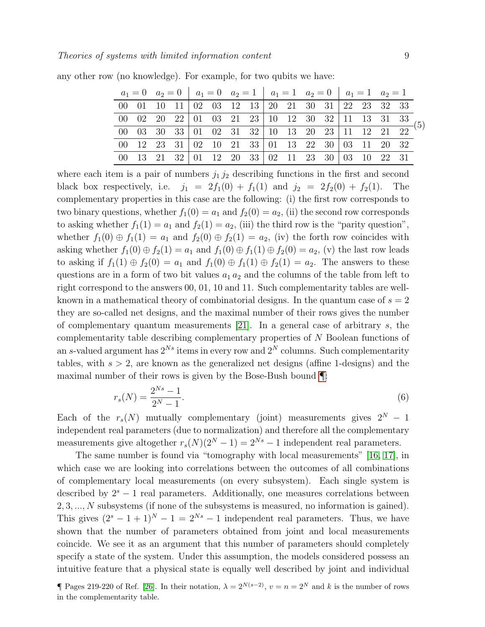<span id="page-8-1"></span>

|  |  |  |  |  |  |  | $a_1 = 0$ $a_2 = 0$ $a_1 = 0$ $a_2 = 1$ $a_1 = 1$ $a_2 = 0$ $a_1 = 1$ $a_2 = 1$                                                                                                                                     |  |
|--|--|--|--|--|--|--|---------------------------------------------------------------------------------------------------------------------------------------------------------------------------------------------------------------------|--|
|  |  |  |  |  |  |  | 00 01 10 11 02 03 12 13 20 21 30 31 22 23 32 33                                                                                                                                                                     |  |
|  |  |  |  |  |  |  | $\begin{array}{cccccccccccc} 00 & 02 & 20 & 22 & 01 & 03 & 21 & 23 & 10 & 12 & 30 & 32 & 11 & 13 & 31 & 33 \\ \hline 00 & 03 & 30 & 33 & 01 & 02 & 31 & 32 & 10 & 13 & 20 & 23 & 11 & 12 & 21 & 22 \end{array} (5)$ |  |
|  |  |  |  |  |  |  |                                                                                                                                                                                                                     |  |
|  |  |  |  |  |  |  | 00 12 23 31 02 10 21 33 01 13 22 30 03 11 20 32                                                                                                                                                                     |  |
|  |  |  |  |  |  |  | 00 13 21 32 01 12 20 33 02 11 23 30 03 10 22 31                                                                                                                                                                     |  |

any other row (no knowledge). For example, for two qubits we have:

where each item is a pair of numbers  $j_1 j_2$  describing functions in the first and second black box respectively, i.e.  $j_1 = 2f_1(0) + f_1(1)$  and  $j_2 = 2f_2(0) + f_2(1)$ . The complementary properties in this case are the following: (i) the first row corresponds to two binary questions, whether  $f_1(0) = a_1$  and  $f_2(0) = a_2$ , (ii) the second row corresponds to asking whether  $f_1(1) = a_1$  and  $f_2(1) = a_2$ , (iii) the third row is the "parity question", whether  $f_1(0) \oplus f_1(1) = a_1$  and  $f_2(0) \oplus f_2(1) = a_2$ , (iv) the forth row coincides with asking whether  $f_1(0) \oplus f_2(1) = a_1$  and  $f_1(0) \oplus f_1(1) \oplus f_2(0) = a_2$ , (v) the last row leads to asking if  $f_1(1) \oplus f_2(0) = a_1$  and  $f_1(0) \oplus f_1(1) \oplus f_2(1) = a_2$ . The answers to these questions are in a form of two bit values  $a_1 a_2$  and the columns of the table from left to right correspond to the answers 00, 01, 10 and 11. Such complementarity tables are wellknown in a mathematical theory of combinatorial designs. In the quantum case of  $s = 2$ they are so-called net designs, and the maximal number of their rows gives the number of complementary quantum measurements  $[21]$ . In a general case of arbitrary s, the complementarity table describing complementary properties of N Boolean functions of an s-valued argument has  $2^{Ns}$  items in every row and  $2^N$  columns. Such complementarity tables, with  $s > 2$ , are known as the generalized net designs (affine 1-designs) and the maximal number of their rows is given by the Bose-Bush bound [¶](#page-8-0):

$$
r_s(N) = \frac{2^{Ns} - 1}{2^N - 1}.\tag{6}
$$

Each of the  $r_s(N)$  mutually complementary (joint) measurements gives  $2^N - 1$ independent real parameters (due to normalization) and therefore all the complementary measurements give altogether  $r_s(N)(2^N-1) = 2^{Ns} - 1$  independent real parameters.

The same number is found via "tomography with local measurements" [\[16,](#page-12-15) [17\]](#page-12-16), in which case we are looking into correlations between the outcomes of all combinations of complementary local measurements (on every subsystem). Each single system is described by  $2<sup>s</sup> - 1$  real parameters. Additionally, one measures correlations between 2, 3, ..., N subsystems (if none of the subsystems is measured, no information is gained). This gives  $(2<sup>s</sup> - 1 + 1)<sup>N</sup> - 1 = 2<sup>Ns</sup> - 1$  independent real parameters. Thus, we have shown that the number of parameters obtained from joint and local measurements coincide. We see it as an argument that this number of parameters should completely specify a state of the system. Under this assumption, the models considered possess an intuitive feature that a physical state is equally well described by joint and individual

<span id="page-8-0"></span>¶ Pages 219-220 of Ref. [\[26\]](#page-12-25). In their notation,  $\lambda = 2^{N(s-2)}$ ,  $v = n = 2^N$  and k is the number of rows in the complementarity table.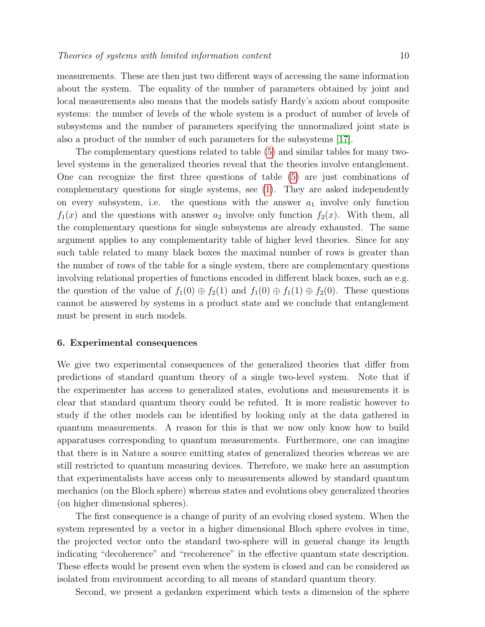measurements. These are then just two different ways of accessing the same information about the system. The equality of the number of parameters obtained by joint and local measurements also means that the models satisfy Hardy's axiom about composite systems: the number of levels of the whole system is a product of number of levels of subsystems and the number of parameters specifying the unnormalized joint state is also a product of the number of such parameters for the subsystems [\[17\]](#page-12-16).

The complementary questions related to table [\(5\)](#page-8-1) and similar tables for many twolevel systems in the generalized theories reveal that the theories involve entanglement. One can recognize the first three questions of table [\(5\)](#page-8-1) are just combinations of complementary questions for single systems, see [\(1\)](#page-3-2). They are asked independently on every subsystem, i.e. the questions with the answer  $a_1$  involve only function  $f_1(x)$  and the questions with answer  $a_2$  involve only function  $f_2(x)$ . With them, all the complementary questions for single subsystems are already exhausted. The same argument applies to any complementarity table of higher level theories. Since for any such table related to many black boxes the maximal number of rows is greater than the number of rows of the table for a single system, there are complementary questions involving relational properties of functions encoded in different black boxes, such as e.g. the question of the value of  $f_1(0) \oplus f_2(1)$  and  $f_1(0) \oplus f_1(1) \oplus f_2(0)$ . These questions cannot be answered by systems in a product state and we conclude that entanglement must be present in such models.

#### 6. Experimental consequences

We give two experimental consequences of the generalized theories that differ from predictions of standard quantum theory of a single two-level system. Note that if the experimenter has access to generalized states, evolutions and measurements it is clear that standard quantum theory could be refuted. It is more realistic however to study if the other models can be identified by looking only at the data gathered in quantum measurements. A reason for this is that we now only know how to build apparatuses corresponding to quantum measurements. Furthermore, one can imagine that there is in Nature a source emitting states of generalized theories whereas we are still restricted to quantum measuring devices. Therefore, we make here an assumption that experimentalists have access only to measurements allowed by standard quantum mechanics (on the Bloch sphere) whereas states and evolutions obey generalized theories (on higher dimensional spheres).

The first consequence is a change of purity of an evolving closed system. When the system represented by a vector in a higher dimensional Bloch sphere evolves in time, the projected vector onto the standard two-sphere will in general change its length indicating "decoherence" and "recoherence" in the effective quantum state description. These effects would be present even when the system is closed and can be considered as isolated from environment according to all means of standard quantum theory.

Second, we present a gedanken experiment which tests a dimension of the sphere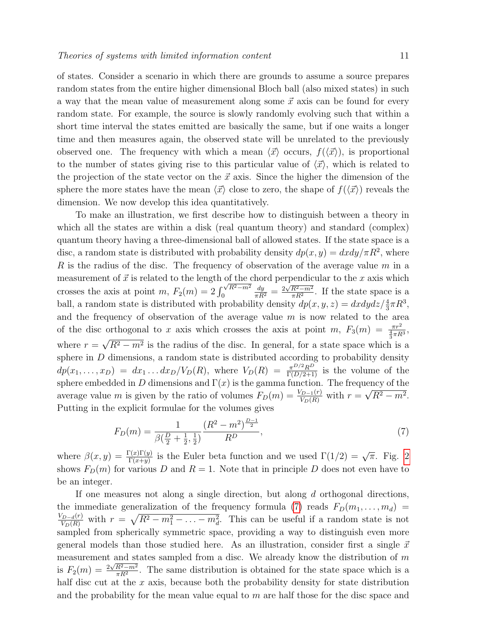of states. Consider a scenario in which there are grounds to assume a source prepares random states from the entire higher dimensional Bloch ball (also mixed states) in such a way that the mean value of measurement along some  $\vec{x}$  axis can be found for every random state. For example, the source is slowly randomly evolving such that within a short time interval the states emitted are basically the same, but if one waits a longer time and then measures again, the observed state will be unrelated to the previously observed one. The frequency with which a mean  $\langle \vec{x} \rangle$  occurs,  $f(\langle \vec{x} \rangle)$ , is proportional to the number of states giving rise to this particular value of  $\langle \vec{x} \rangle$ , which is related to the projection of the state vector on the  $\vec{x}$  axis. Since the higher the dimension of the sphere the more states have the mean  $\langle \vec{x} \rangle$  close to zero, the shape of  $f(\langle \vec{x} \rangle)$  reveals the dimension. We now develop this idea quantitatively.

To make an illustration, we first describe how to distinguish between a theory in which all the states are within a disk (real quantum theory) and standard (complex) quantum theory having a three-dimensional ball of allowed states. If the state space is a disc, a random state is distributed with probability density  $dp(x, y) = dxdy/\pi R^2$ , where R is the radius of the disc. The frequency of observation of the average value  $m$  in a measurement of  $\vec{x}$  is related to the length of the chord perpendicular to the x axis which crosses the axis at point m,  $F_2(m) = 2 \int_0^{\sqrt{R^2 - m^2}}$  $\boldsymbol{0}$  $\frac{dy}{\pi R^2} = \frac{2\sqrt{R^2-m^2}}{\pi R^2}$  $\frac{R^2-m^2}{\pi R^2}$ . If the state space is a ball, a random state is distributed with probability density  $dp(x, y, z) = dx dy dz / \frac{4}{3}\pi R^3$ , and the frequency of observation of the average value  $m$  is now related to the area of the disc orthogonal to x axis which crosses the axis at point  $m$ ,  $F_3(m) = \frac{\pi r^2}{\frac{4}{3}\pi R^3}$ , where  $r = \sqrt{R^2 - m^2}$  is the radius of the disc. In general, for a state space which √  $R^2 - m^2$  is the radius of the disc. In general, for a state space which is a sphere in  $D$  dimensions, a random state is distributed according to probability density  $dp(x_1,...,x_D) = dx_1...dx_D/V_D(R)$ , where  $V_D(R) = \frac{\pi^{D/2}R^D}{\Gamma(D/2+1)}$  is the volume of the sphere embedded in D dimensions and  $\Gamma(x)$  is the gamma function. The frequency of the average value m is given by the ratio of volumes  $F_D(m) = \frac{V_{D-1}(r)}{V_D(R)}$  with  $r =$ µا<br>∕  $R^2 - m^2$ . Putting in the explicit formulae for the volumes gives

<span id="page-10-0"></span>
$$
F_D(m) = \frac{1}{\beta(\frac{D}{2} + \frac{1}{2}, \frac{1}{2})} \frac{(R^2 - m^2)^{\frac{D-1}{2}}}{R^D},\tag{7}
$$

where  $\beta(x,y) = \frac{\Gamma(x)\Gamma(y)}{\Gamma(x+y)}$  is the Euler beta function and we used  $\Gamma(1/2) = \sqrt{\pi}$ . Fig. [2](#page-11-0) shows  $F_D(m)$  for various D and  $R = 1$ . Note that in principle D does not even have to be an integer.

If one measures not along a single direction, but along d orthogonal directions, the immediate generalization of the frequency formula [\(7\)](#page-10-0) reads  $F_D(m_1, \ldots, m_d)$  =  $\frac{V_{D-d}(r)}{V_D(R)}$  with  $r = \sqrt{R^2 - m_1^2 - \ldots - m_d^2}$ . This can be useful if a random state is not sampled from spherically symmetric space, providing a way to distinguish even more general models than those studied here. As an illustration, consider first a single  $\vec{x}$ measurement and states sampled from a disc. We already know the distribution of  $m$ is  $F_2(m) = \frac{2\sqrt{R^2 - m^2}}{\pi R^2}$  $\frac{R^2 - m^2}{\pi R^2}$ . The same distribution is obtained for the state space which is a half disc cut at the  $x$  axis, because both the probability density for state distribution and the probability for the mean value equal to  $m$  are half those for the disc space and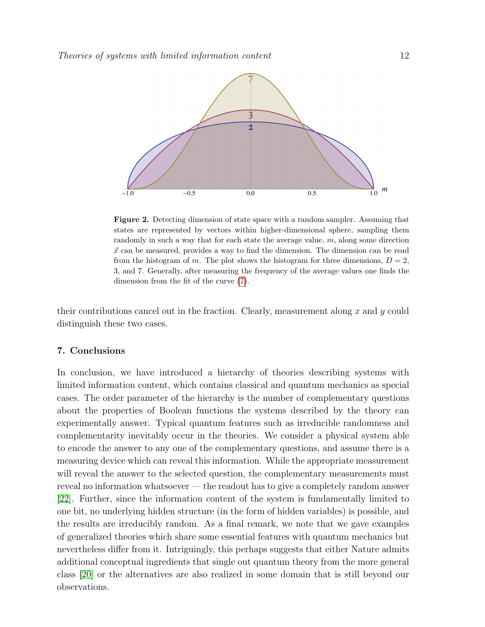

<span id="page-11-0"></span>Figure 2. Detecting dimension of state space with a random sampler. Assuming that states are represented by vectors within higher-dimensional sphere, sampling them randomly in such a way that for each state the average value, m, along some direction  $\vec{x}$  can be measured, provides a way to find the dimension. The dimension can be read from the histogram of m. The plot shows the histogram for three dimensions,  $D = 2$ , 3, and 7. Generally, after measuring the frequency of the average values one finds the dimension from the fit of the curve [\(7\)](#page-10-0).

their contributions cancel out in the fraction. Clearly, measurement along x and  $\eta$  could distinguish these two cases.

## 7. Conclusions

In conclusion, we have introduced a hierarchy of theories describing systems with limited information content, which contains classical and quantum mechanics as special cases. The order parameter of the hierarchy is the number of complementary questions about the properties of Boolean functions the systems described by the theory can experimentally answer. Typical quantum features such as irreducible randomness and complementarity inevitably occur in the theories. We consider a physical system able to encode the answer to any one of the complementary questions, and assume there is a measuring device which can reveal this information. While the appropriate measurement will reveal the answer to the selected question, the complementary measurements must reveal no information whatsoever — the readout has to give a completely random answer [\[22\]](#page-12-21). Further, since the information content of the system is fundamentally limited to one bit, no underlying hidden structure (in the form of hidden variables) is possible, and the results are irreducibly random. As a final remark, we note that we gave examples of generalized theories which share some essential features with quantum mechanics but nevertheless differ from it. Intriguingly, this perhaps suggests that either Nature admits additional conceptual ingredients that single out quantum theory from the more general class [\[20\]](#page-12-19) or the alternatives are also realized in some domain that is still beyond our observations.